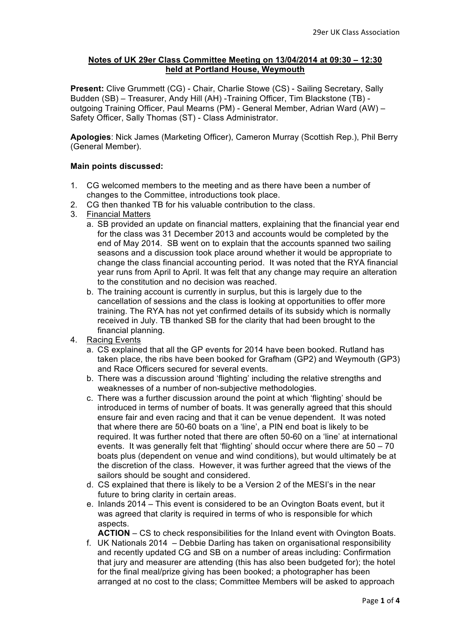## **Notes of UK 29er Class Committee Meeting on 13/04/2014 at 09:30 – 12:30 held at Portland House, Weymouth**

**Present:** Clive Grummett (CG) - Chair, Charlie Stowe (CS) - Sailing Secretary, Sally Budden (SB) – Treasurer, Andy Hill (AH) -Training Officer, Tim Blackstone (TB) outgoing Training Officer, Paul Mearns (PM) - General Member, Adrian Ward (AW) – Safety Officer, Sally Thomas (ST) - Class Administrator.

**Apologies**: Nick James (Marketing Officer), Cameron Murray (Scottish Rep.), Phil Berry (General Member).

## **Main points discussed:**

- 1. CG welcomed members to the meeting and as there have been a number of changes to the Committee, introductions took place.
- 2. CG then thanked TB for his valuable contribution to the class.
- 3. Financial Matters
	- a. SB provided an update on financial matters, explaining that the financial year end for the class was 31 December 2013 and accounts would be completed by the end of May 2014. SB went on to explain that the accounts spanned two sailing seasons and a discussion took place around whether it would be appropriate to change the class financial accounting period. It was noted that the RYA financial year runs from April to April. It was felt that any change may require an alteration to the constitution and no decision was reached.
	- b. The training account is currently in surplus, but this is largely due to the cancellation of sessions and the class is looking at opportunities to offer more training. The RYA has not yet confirmed details of its subsidy which is normally received in July. TB thanked SB for the clarity that had been brought to the financial planning.
- 4. Racing Events
	- a. CS explained that all the GP events for 2014 have been booked. Rutland has taken place, the ribs have been booked for Grafham (GP2) and Weymouth (GP3) and Race Officers secured for several events.
	- b. There was a discussion around 'flighting' including the relative strengths and weaknesses of a number of non-subjective methodologies.
	- c. There was a further discussion around the point at which 'flighting' should be introduced in terms of number of boats. It was generally agreed that this should ensure fair and even racing and that it can be venue dependent. It was noted that where there are 50-60 boats on a 'line', a PIN end boat is likely to be required. It was further noted that there are often 50-60 on a 'line' at international events. It was generally felt that 'flighting' should occur where there are 50 – 70 boats plus (dependent on venue and wind conditions), but would ultimately be at the discretion of the class. However, it was further agreed that the views of the sailors should be sought and considered.
	- d. CS explained that there is likely to be a Version 2 of the MESI's in the near future to bring clarity in certain areas.
	- e. Inlands 2014 This event is considered to be an Ovington Boats event, but it was agreed that clarity is required in terms of who is responsible for which aspects

**ACTION** – CS to check responsibilities for the Inland event with Ovington Boats.

f. UK Nationals 2014 – Debbie Darling has taken on organisational responsibility and recently updated CG and SB on a number of areas including: Confirmation that jury and measurer are attending (this has also been budgeted for); the hotel for the final meal/prize giving has been booked; a photographer has been arranged at no cost to the class; Committee Members will be asked to approach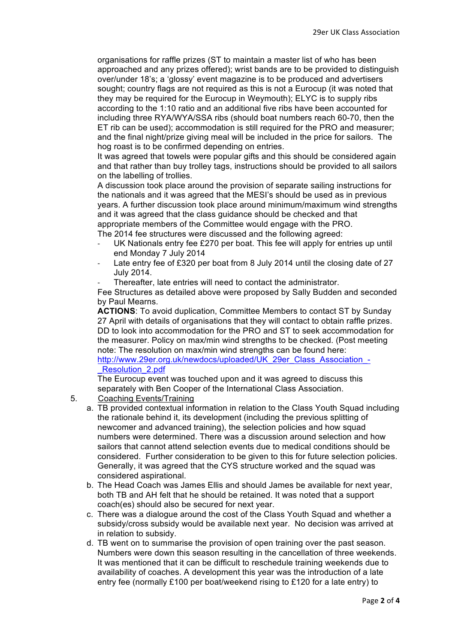organisations for raffle prizes (ST to maintain a master list of who has been approached and any prizes offered); wrist bands are to be provided to distinguish over/under 18's; a 'glossy' event magazine is to be produced and advertisers sought; country flags are not required as this is not a Eurocup (it was noted that they may be required for the Eurocup in Weymouth); ELYC is to supply ribs according to the 1:10 ratio and an additional five ribs have been accounted for including three RYA/WYA/SSA ribs (should boat numbers reach 60-70, then the ET rib can be used); accommodation is still required for the PRO and measurer; and the final night/prize giving meal will be included in the price for sailors. The hog roast is to be confirmed depending on entries.

It was agreed that towels were popular gifts and this should be considered again and that rather than buy trolley tags, instructions should be provided to all sailors on the labelling of trollies.

A discussion took place around the provision of separate sailing instructions for the nationals and it was agreed that the MESI's should be used as in previous years. A further discussion took place around minimum/maximum wind strengths and it was agreed that the class guidance should be checked and that appropriate members of the Committee would engage with the PRO.

The 2014 fee structures were discussed and the following agreed:

- UK Nationals entry fee £270 per boat. This fee will apply for entries up until end Monday 7 July 2014
- Late entry fee of £320 per boat from 8 July 2014 until the closing date of 27 July 2014.
- Thereafter, late entries will need to contact the administrator.

Fee Structures as detailed above were proposed by Sally Budden and seconded by Paul Mearns.

**ACTIONS**: To avoid duplication, Committee Members to contact ST by Sunday 27 April with details of organisations that they will contact to obtain raffle prizes. DD to look into accommodation for the PRO and ST to seek accommodation for the measurer. Policy on max/min wind strengths to be checked. (Post meeting note: The resolution on max/min wind strengths can be found here:

http://www.29er.org.uk/newdocs/uploaded/UK\_29er\_Class\_Association\_-Resolution 2.pdf

The Eurocup event was touched upon and it was agreed to discuss this separately with Ben Cooper of the International Class Association.

- 5. Coaching Events/Training
	- a. TB provided contextual information in relation to the Class Youth Squad including the rationale behind it, its development (including the previous splitting of newcomer and advanced training), the selection policies and how squad numbers were determined. There was a discussion around selection and how sailors that cannot attend selection events due to medical conditions should be considered. Further consideration to be given to this for future selection policies. Generally, it was agreed that the CYS structure worked and the squad was considered aspirational.
	- b. The Head Coach was James Ellis and should James be available for next year, both TB and AH felt that he should be retained. It was noted that a support coach(es) should also be secured for next year.
	- c. There was a dialogue around the cost of the Class Youth Squad and whether a subsidy/cross subsidy would be available next year. No decision was arrived at in relation to subsidy.
	- d. TB went on to summarise the provision of open training over the past season. Numbers were down this season resulting in the cancellation of three weekends. It was mentioned that it can be difficult to reschedule training weekends due to availability of coaches. A development this year was the introduction of a late entry fee (normally £100 per boat/weekend rising to £120 for a late entry) to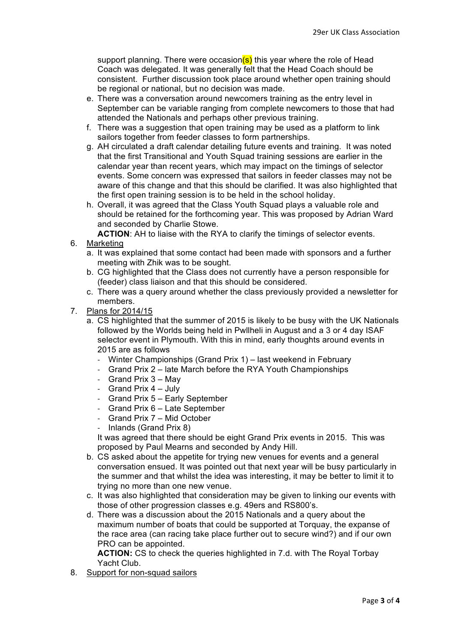support planning. There were occasion(s) this year where the role of Head Coach was delegated. It was generally felt that the Head Coach should be consistent. Further discussion took place around whether open training should be regional or national, but no decision was made.

- e. There was a conversation around newcomers training as the entry level in September can be variable ranging from complete newcomers to those that had attended the Nationals and perhaps other previous training.
- f. There was a suggestion that open training may be used as a platform to link sailors together from feeder classes to form partnerships.
- g. AH circulated a draft calendar detailing future events and training. It was noted that the first Transitional and Youth Squad training sessions are earlier in the calendar year than recent years, which may impact on the timings of selector events. Some concern was expressed that sailors in feeder classes may not be aware of this change and that this should be clarified. It was also highlighted that the first open training session is to be held in the school holiday.
- h. Overall, it was agreed that the Class Youth Squad plays a valuable role and should be retained for the forthcoming year. This was proposed by Adrian Ward and seconded by Charlie Stowe.

**ACTION**: AH to liaise with the RYA to clarify the timings of selector events.

- 6. Marketing
	- a. It was explained that some contact had been made with sponsors and a further meeting with Zhik was to be sought.
	- b. CG highlighted that the Class does not currently have a person responsible for (feeder) class liaison and that this should be considered.
	- c. There was a query around whether the class previously provided a newsletter for members.
- 7. Plans for 2014/15
	- a. CS highlighted that the summer of 2015 is likely to be busy with the UK Nationals followed by the Worlds being held in Pwllheli in August and a 3 or 4 day ISAF selector event in Plymouth. With this in mind, early thoughts around events in 2015 are as follows
		- Winter Championships (Grand Prix 1) last weekend in February
		- Grand Prix 2 late March before the RYA Youth Championships
		- Grand Prix  $3 May$
		- Grand Prix  $4 -$  July
		- Grand Prix 5 Early September
		- Grand Prix 6 Late September
		- Grand Prix 7 Mid October
		- Inlands (Grand Prix 8)

It was agreed that there should be eight Grand Prix events in 2015. This was proposed by Paul Mearns and seconded by Andy Hill.

- b. CS asked about the appetite for trying new venues for events and a general conversation ensued. It was pointed out that next year will be busy particularly in the summer and that whilst the idea was interesting, it may be better to limit it to trying no more than one new venue.
- c. It was also highlighted that consideration may be given to linking our events with those of other progression classes e.g. 49ers and RS800's.
- d. There was a discussion about the 2015 Nationals and a query about the maximum number of boats that could be supported at Torquay, the expanse of the race area (can racing take place further out to secure wind?) and if our own PRO can be appointed.

**ACTION:** CS to check the queries highlighted in 7.d. with The Royal Torbay Yacht Club.

8. Support for non-squad sailors